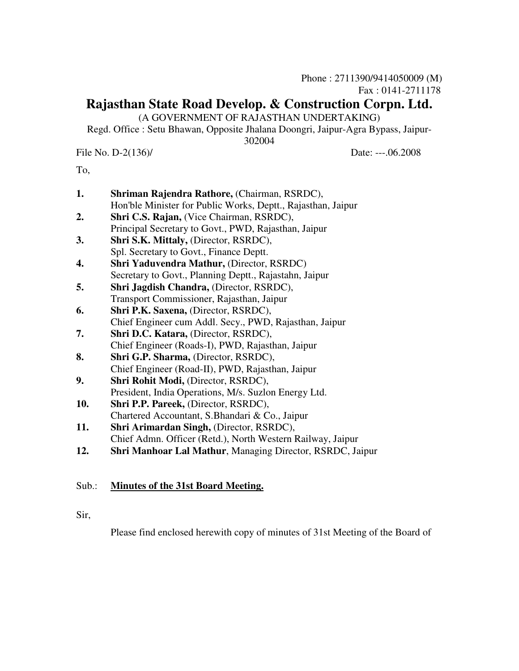# **Rajasthan State Road Develop. & Construction Corpn. Ltd.**

(A GOVERNMENT OF RAJASTHAN UNDERTAKING)

Regd. Office : Setu Bhawan, Opposite Jhalana Doongri, Jaipur-Agra Bypass, Jaipur-

#### 302004

File No. D-2(136)/ Date: ---.06.2008

To,

| 1.  | Shriman Rajendra Rathore, (Chairman, RSRDC),                 |
|-----|--------------------------------------------------------------|
|     | Hon'ble Minister for Public Works, Deptt., Rajasthan, Jaipur |
| 2.  | Shri C.S. Rajan, (Vice Chairman, RSRDC),                     |
|     | Principal Secretary to Govt., PWD, Rajasthan, Jaipur         |
| 3.  | Shri S.K. Mittaly, (Director, RSRDC),                        |
|     | Spl. Secretary to Govt., Finance Deptt.                      |
| 4.  | <b>Shri Yaduvendra Mathur, (Director, RSRDC)</b>             |
|     | Secretary to Govt., Planning Deptt., Rajastahn, Jaipur       |
| 5.  | Shri Jagdish Chandra, (Director, RSRDC),                     |
|     | Transport Commissioner, Rajasthan, Jaipur                    |
| 6.  | Shri P.K. Saxena, (Director, RSRDC),                         |
|     | Chief Engineer cum Addl. Secy., PWD, Rajasthan, Jaipur       |
| 7.  | Shri D.C. Katara, (Director, RSRDC),                         |
|     | Chief Engineer (Roads-I), PWD, Rajasthan, Jaipur             |
| 8.  | Shri G.P. Sharma, (Director, RSRDC),                         |
|     | Chief Engineer (Road-II), PWD, Rajasthan, Jaipur             |
| 9.  | <b>Shri Rohit Modi, (Director, RSRDC),</b>                   |
|     | President, India Operations, M/s. Suzlon Energy Ltd.         |
| 10. | Shri P.P. Pareek, (Director, RSRDC),                         |
|     | Chartered Accountant, S.Bhandari & Co., Jaipur               |
| 11. | Shri Arimardan Singh, (Director, RSRDC),                     |
|     | Chief Admn. Officer (Retd.), North Western Railway, Jaipur   |

**12. Shri Manhoar Lal Mathur**, Managing Director, RSRDC, Jaipur

# Sub.: **Minutes of the 31st Board Meeting.**

Sir,

Please find enclosed herewith copy of minutes of 31st Meeting of the Board of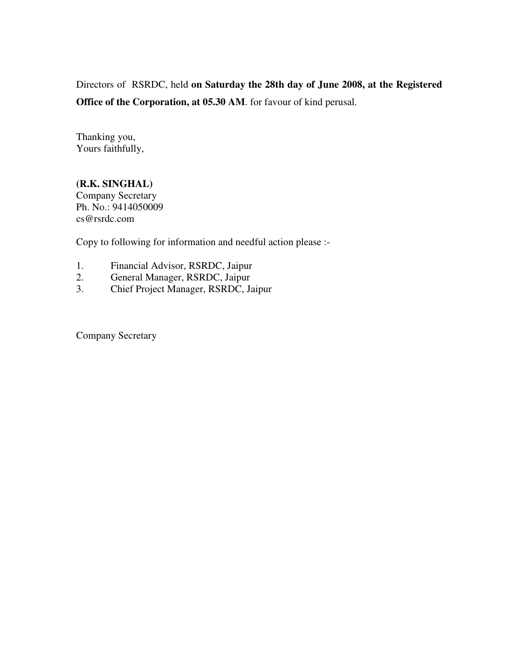Directors of RSRDC, held **on Saturday the 28th day of June 2008, at the Registered Office of the Corporation, at 05.30 AM**. for favour of kind perusal.

Thanking you, Yours faithfully,

**(R.K. SINGHAL)**  Company Secretary Ph. No.: 9414050009 cs@rsrdc.com

Copy to following for information and needful action please :-

- 1. Financial Advisor, RSRDC, Jaipur<br>2. General Manager, RSRDC, Jaipur
- 2. General Manager, RSRDC, Jaipur
- 3. Chief Project Manager, RSRDC, Jaipur

Company Secretary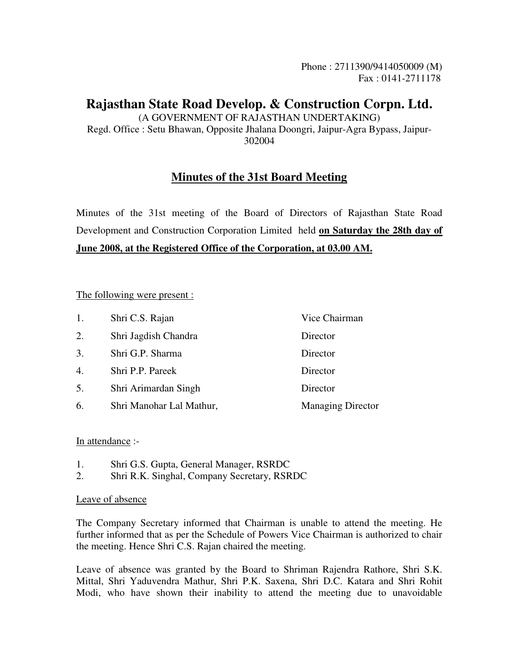# **Rajasthan State Road Develop. & Construction Corpn. Ltd.**

(A GOVERNMENT OF RAJASTHAN UNDERTAKING) Regd. Office : Setu Bhawan, Opposite Jhalana Doongri, Jaipur-Agra Bypass, Jaipur-302004

# **Minutes of the 31st Board Meeting**

Minutes of the 31st meeting of the Board of Directors of Rajasthan State Road Development and Construction Corporation Limited held **on Saturday the 28th day of June 2008, at the Registered Office of the Corporation, at 03.00 AM.**

# The following were present :

| 1.               | Shri C.S. Rajan          | Vice Chairman            |
|------------------|--------------------------|--------------------------|
| 2.               | Shri Jagdish Chandra     | Director                 |
| 3.               | Shri G.P. Sharma         | Director                 |
| $\overline{4}$ . | Shri P.P. Pareek         | Director                 |
| 5.               | Shri Arimardan Singh     | Director                 |
| 6.               | Shri Manohar Lal Mathur, | <b>Managing Director</b> |

#### In attendance :-

- 1. Shri G.S. Gupta, General Manager, RSRDC
- 2. Shri R.K. Singhal, Company Secretary, RSRDC

#### Leave of absence

The Company Secretary informed that Chairman is unable to attend the meeting. He further informed that as per the Schedule of Powers Vice Chairman is authorized to chair the meeting. Hence Shri C.S. Rajan chaired the meeting.

Leave of absence was granted by the Board to Shriman Rajendra Rathore, Shri S.K. Mittal, Shri Yaduvendra Mathur, Shri P.K. Saxena, Shri D.C. Katara and Shri Rohit Modi, who have shown their inability to attend the meeting due to unavoidable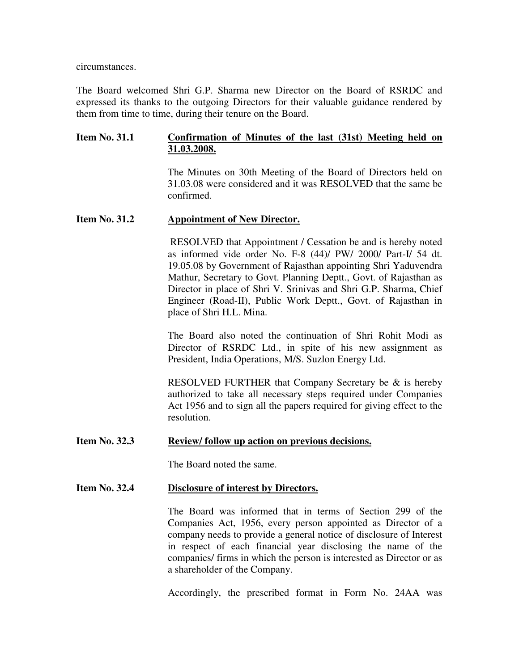circumstances.

The Board welcomed Shri G.P. Sharma new Director on the Board of RSRDC and expressed its thanks to the outgoing Directors for their valuable guidance rendered by them from time to time, during their tenure on the Board.

### **Item No. 31.1 Confirmation of Minutes of the last (31st) Meeting held on 31.03.2008.**

 The Minutes on 30th Meeting of the Board of Directors held on 31.03.08 were considered and it was RESOLVED that the same be confirmed.

#### **Item No. 31.2 Appointment of New Director.**

 RESOLVED that Appointment / Cessation be and is hereby noted as informed vide order No. F-8 (44)/ PW/ 2000/ Part-I/ 54 dt. 19.05.08 by Government of Rajasthan appointing Shri Yaduvendra Mathur, Secretary to Govt. Planning Deptt., Govt. of Rajasthan as Director in place of Shri V. Srinivas and Shri G.P. Sharma, Chief Engineer (Road-II), Public Work Deptt., Govt. of Rajasthan in place of Shri H.L. Mina.

 The Board also noted the continuation of Shri Rohit Modi as Director of RSRDC Ltd., in spite of his new assignment as President, India Operations, M/S. Suzlon Energy Ltd.

 RESOLVED FURTHER that Company Secretary be & is hereby authorized to take all necessary steps required under Companies Act 1956 and to sign all the papers required for giving effect to the resolution.

#### Item No. 32.3 Review/ follow up action on previous decisions.

The Board noted the same.

#### **Item No. 32.4 Disclosure of interest by Directors.**

 The Board was informed that in terms of Section 299 of the Companies Act, 1956, every person appointed as Director of a company needs to provide a general notice of disclosure of Interest in respect of each financial year disclosing the name of the companies/ firms in which the person is interested as Director or as a shareholder of the Company.

Accordingly, the prescribed format in Form No. 24AA was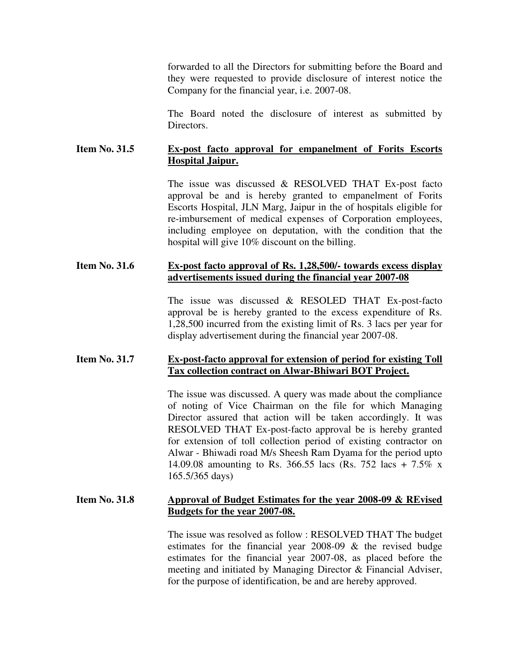forwarded to all the Directors for submitting before the Board and they were requested to provide disclosure of interest notice the Company for the financial year, i.e. 2007-08.

 The Board noted the disclosure of interest as submitted by Directors.

# **Item No. 31.5 Ex-post facto approval for empanelment of Forits Escorts Hospital Jaipur.**

 The issue was discussed & RESOLVED THAT Ex-post facto approval be and is hereby granted to empanelment of Forits Escorts Hospital, JLN Marg, Jaipur in the of hospitals eligible for re-imbursement of medical expenses of Corporation employees, including employee on deputation, with the condition that the hospital will give 10% discount on the billing.

#### **Item No. 31.6 Ex-post facto approval of Rs. 1,28,500/- towards excess display advertisements issued during the financial year 2007-08**

 The issue was discussed & RESOLED THAT Ex-post-facto approval be is hereby granted to the excess expenditure of Rs. 1,28,500 incurred from the existing limit of Rs. 3 lacs per year for display advertisement during the financial year 2007-08.

# **Item No. 31.7 Ex-post-facto approval for extension of period for existing Toll Tax collection contract on Alwar-Bhiwari BOT Project.**

 The issue was discussed. A query was made about the compliance of noting of Vice Chairman on the file for which Managing Director assured that action will be taken accordingly. It was RESOLVED THAT Ex-post-facto approval be is hereby granted for extension of toll collection period of existing contractor on Alwar - Bhiwadi road M/s Sheesh Ram Dyama for the period upto 14.09.08 amounting to Rs. 366.55 lacs (Rs. 752 lacs + 7.5% x 165.5/365 days)

#### **Item No. 31.8 Approval of Budget Estimates for the year 2008-09 & REvised Budgets for the year 2007-08.**

 The issue was resolved as follow : RESOLVED THAT The budget estimates for the financial year 2008-09 & the revised budge estimates for the financial year 2007-08, as placed before the meeting and initiated by Managing Director & Financial Adviser, for the purpose of identification, be and are hereby approved.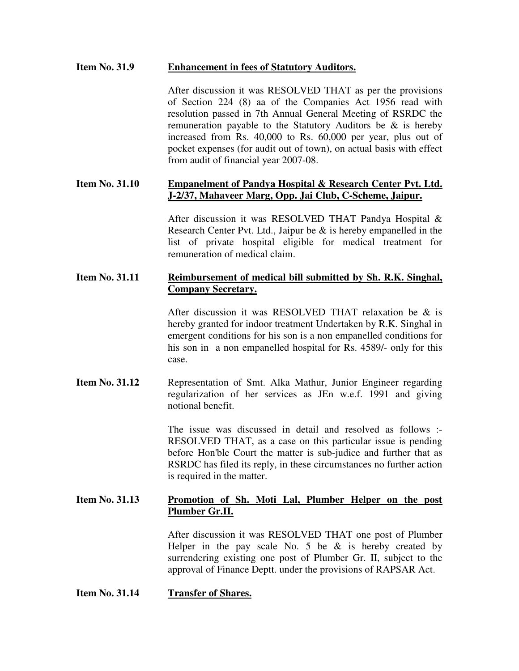# **Item No. 31.9 Enhancement in fees of Statutory Auditors.**

 After discussion it was RESOLVED THAT as per the provisions of Section 224 (8) aa of the Companies Act 1956 read with resolution passed in 7th Annual General Meeting of RSRDC the remuneration payable to the Statutory Auditors be  $\&$  is hereby increased from Rs. 40,000 to Rs. 60,000 per year, plus out of pocket expenses (for audit out of town), on actual basis with effect from audit of financial year 2007-08.

### **Item No. 31.10 Empanelment of Pandya Hospital & Research Center Pvt. Ltd. J-2/37, Mahaveer Marg, Opp. Jai Club, C-Scheme, Jaipur.**

 After discussion it was RESOLVED THAT Pandya Hospital & Research Center Pvt. Ltd., Jaipur be & is hereby empanelled in the list of private hospital eligible for medical treatment for remuneration of medical claim.

# **Item No. 31.11 Reimbursement of medical bill submitted by Sh. R.K. Singhal, Company Secretary.**

 After discussion it was RESOLVED THAT relaxation be & is hereby granted for indoor treatment Undertaken by R.K. Singhal in emergent conditions for his son is a non empanelled conditions for his son in a non empanelled hospital for Rs. 4589/- only for this case.

**Item No. 31.12** Representation of Smt. Alka Mathur, Junior Engineer regarding regularization of her services as JEn w.e.f. 1991 and giving notional benefit.

> The issue was discussed in detail and resolved as follows :- RESOLVED THAT, as a case on this particular issue is pending before Hon'ble Court the matter is sub-judice and further that as RSRDC has filed its reply, in these circumstances no further action is required in the matter.

#### **Item No. 31.13 Promotion of Sh. Moti Lal, Plumber Helper on the post Plumber Gr.II.**

 After discussion it was RESOLVED THAT one post of Plumber Helper in the pay scale No. 5 be  $&$  is hereby created by surrendering existing one post of Plumber Gr. II, subject to the approval of Finance Deptt. under the provisions of RAPSAR Act.

#### **Item No. 31.14 Transfer of Shares.**